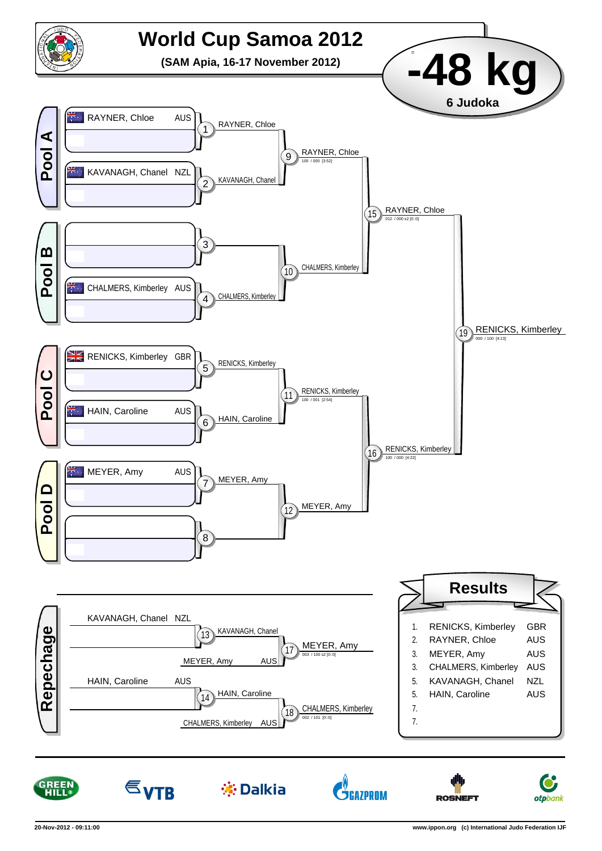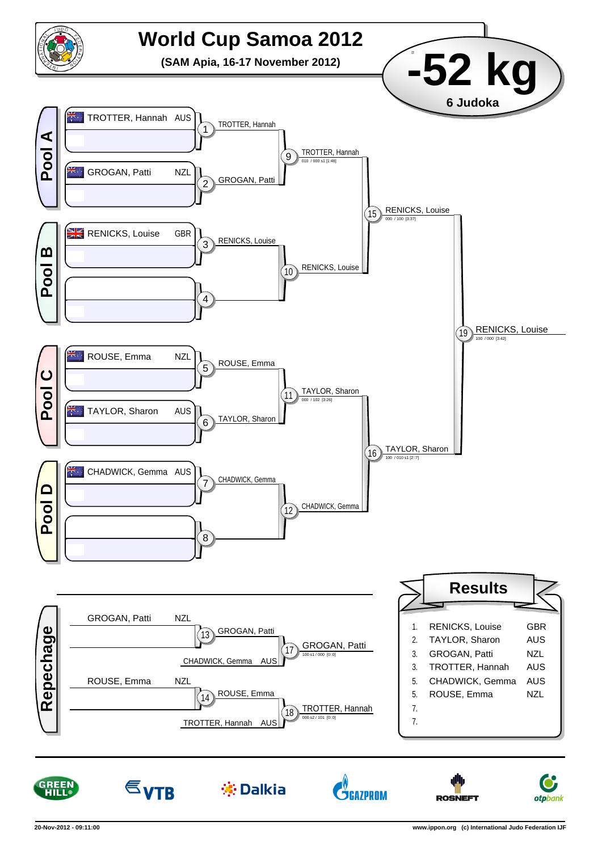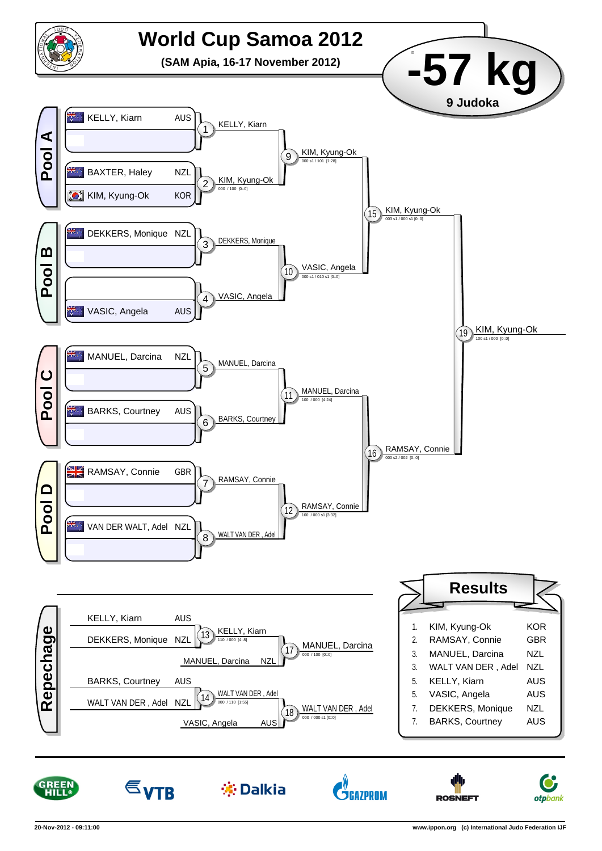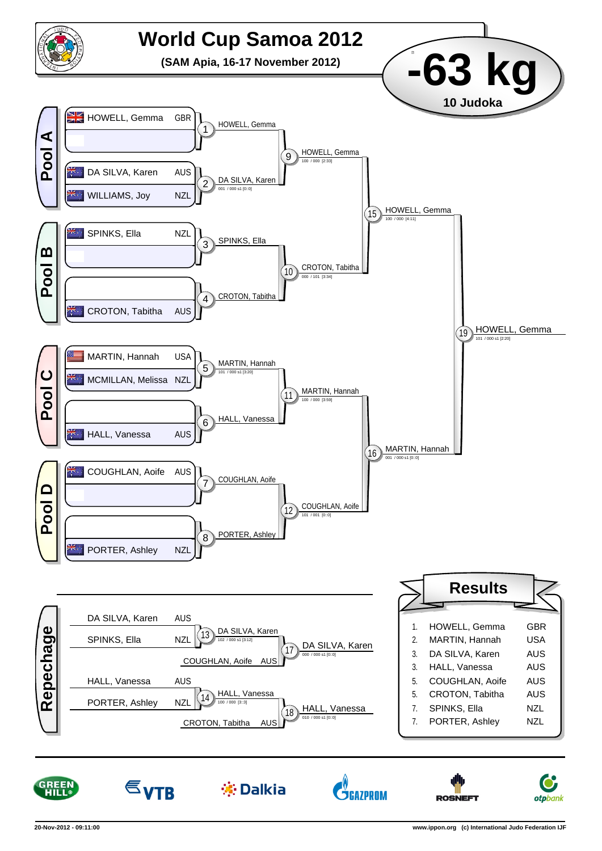

**※Dalkia** 

**ŠGAZPROM** 



 $\epsilon_{\text{VTB}}$ 

**ROSNEFT** 

**otp**bank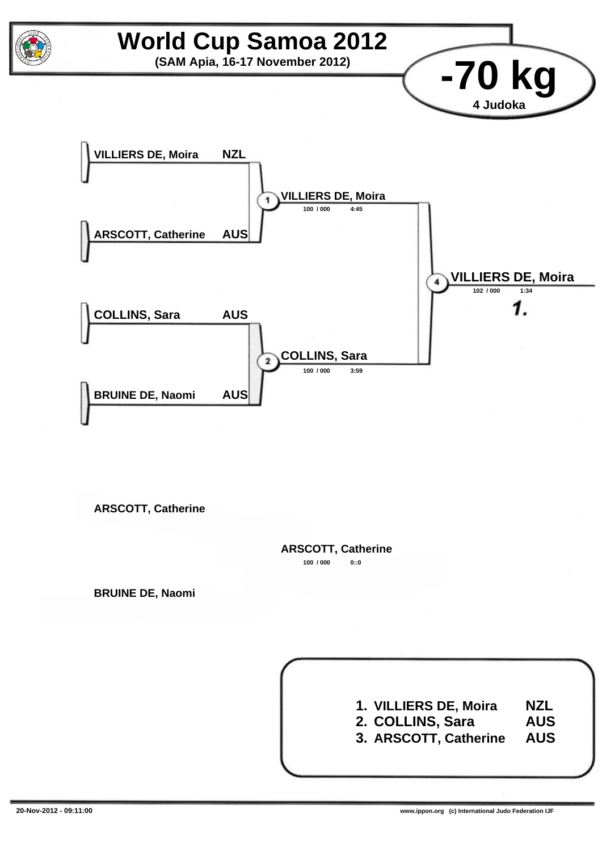

**ARSCOTT, Catherine**

**100 / 000 0::0 ARSCOTT, Catherine**

**BRUINE DE, Naomi**

**1. VILLIERS DE, Moira 2. COLLINS, Sara 3. ARSCOTT, Catherine NZL AUS AUS**